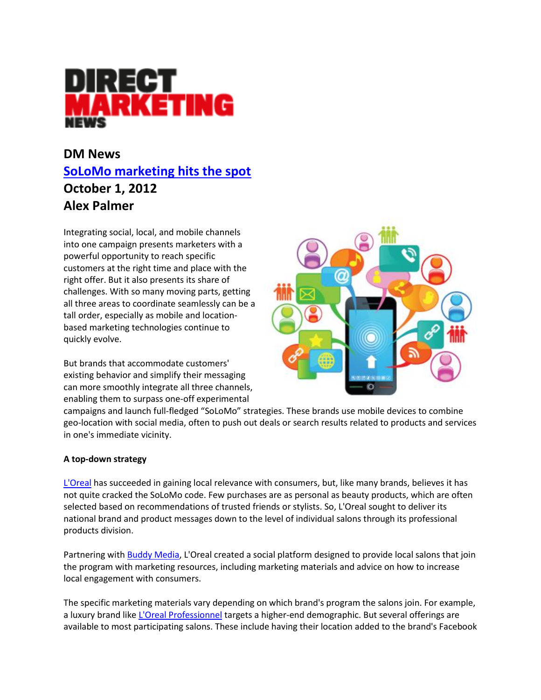

# **DM News [SoLoMo marketing hits the spot](http://www.dmnews.com/solomo-marketing-hits-the-spot/article/260394/) October 1, 2012 Alex Palmer**

Integrating social, local, and mobile channels into one campaign presents marketers with a powerful opportunity to reach specific customers at the right time and place with the right offer. But it also presents its share of challenges. With so many moving parts, getting all three areas to coordinate seamlessly can be a tall order, especially as mobile and locationbased marketing technologies continue to quickly evolve.

But brands that accommodate customers' existing behavior and simplify their messaging can more smoothly integrate all three channels, enabling them to surpass one-off experimental



campaigns and launch full-fledged "SoLoMo" strategies. These brands use mobile devices to combine geo-location with social media, often to push out deals or search results related to products and services in one's immediate vicinity.

## **A top-down strategy**

[L'Oreal](http://www.loreal.com/dispatch.aspx?) has succeeded in gaining local relevance with consumers, but, like many brands, believes it has not quite cracked the SoLoMo code. Few purchases are as personal as beauty products, which are often selected based on recommendations of trusted friends or stylists. So, L'Oreal sought to deliver its national brand and product messages down to the level of individual salons through its professional products division.

Partnering with [Buddy Media,](http://www.buddymedia.com/) L'Oreal created a social platform designed to provide local salons that join the program with marketing resources, including marketing materials and advice on how to increase local engagement with consumers.

The specific marketing materials vary depending on which brand's program the salons join. For example, a luxury brand like [L'Oreal Professionnel](http://us.lorealprofessionnel.com/) targets a higher-end demographic. But several offerings are available to most participating salons. These include having their location added to the brand's Facebook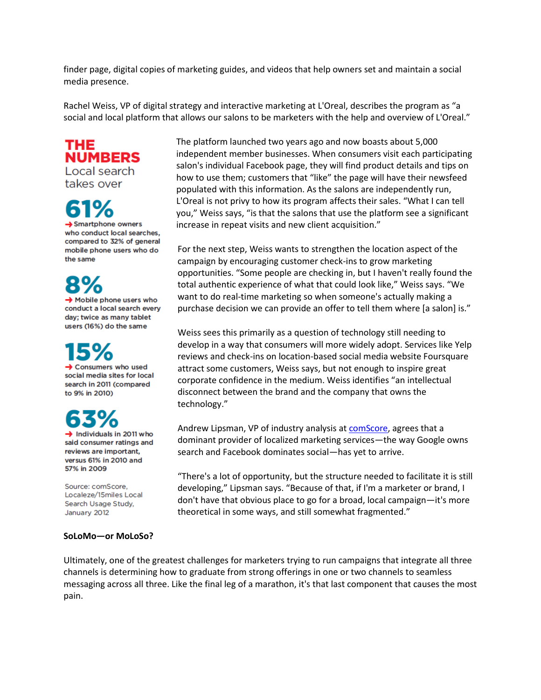finder page, digital copies of marketing guides, and videos that help owners set and maintain a social media presence.

Rachel Weiss, VP of digital strategy and interactive marketing at L'Oreal, describes the program as "a social and local platform that allows our salons to be marketers with the help and overview of L'Oreal."

THE **NUMBERS** Local search

takes over

 $\rightarrow$  Smartphone owners

who conduct local searches, compared to 32% of general mobile phone users who do the same

 $\rightarrow$  Mobile phone users who conduct a local search every day; twice as many tablet users (16%) do the same

 $\rightarrow$  Consumers who used

social media sites for local search in 2011 (compared to 9% in 2010)

 $\rightarrow$  Individuals in 2011 who

said consumer ratings and reviews are important, versus 61% in 2010 and 57% in 2009

Source: comScore, Localeze/15miles Local Search Usage Study, January 2012

#### **SoLoMo—or MoLoSo?**

The platform launched two years ago and now boasts about 5,000 independent member businesses. When consumers visit each participating salon's individual Facebook page, they will find product details and tips on how to use them; customers that "like" the page will have their newsfeed populated with this information. As the salons are independently run, L'Oreal is not privy to how its program affects their sales. "What I can tell you," Weiss says, "is that the salons that use the platform see a significant increase in repeat visits and new client acquisition."

For the next step, Weiss wants to strengthen the location aspect of the campaign by encouraging customer check-ins to grow marketing opportunities. "Some people are checking in, but I haven't really found the total authentic experience of what that could look like," Weiss says. "We want to do real-time marketing so when someone's actually making a purchase decision we can provide an offer to tell them where [a salon] is."

Weiss sees this primarily as a question of technology still needing to develop in a way that consumers will more widely adopt. Services like Yelp reviews and check-ins on location-based social media website Foursquare attract some customers, Weiss says, but not enough to inspire great corporate confidence in the medium. Weiss identifies "an intellectual disconnect between the brand and the company that owns the technology."

Andrew Lipsman, VP of industry analysis at [comScore,](http://www.comscore.com/) agrees that a dominant provider of localized marketing services—the way Google owns search and Facebook dominates social—has yet to arrive.

"There's a lot of opportunity, but the structure needed to facilitate it is still developing," Lipsman says. "Because of that, if I'm a marketer or brand, I don't have that obvious place to go for a broad, local campaign—it's more theoretical in some ways, and still somewhat fragmented."

Ultimately, one of the greatest challenges for marketers trying to run campaigns that integrate all three channels is determining how to graduate from strong offerings in one or two channels to seamless messaging across all three. Like the final leg of a marathon, it's that last component that causes the most pain.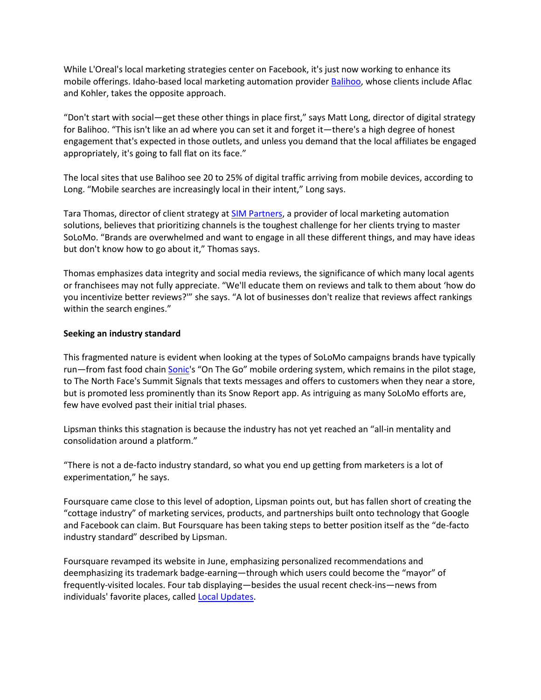While L'Oreal's local marketing strategies center on Facebook, it's just now working to enhance its mobile offerings. Idaho-based local marketing automation provide[r Balihoo,](http://balihoo.com/) whose clients include Aflac and Kohler, takes the opposite approach.

"Don't start with social—get these other things in place first," says Matt Long, director of digital strategy for Balihoo. "This isn't like an ad where you can set it and forget it—there's a high degree of honest engagement that's expected in those outlets, and unless you demand that the local affiliates be engaged appropriately, it's going to fall flat on its face."

The local sites that use Balihoo see 20 to 25% of digital traffic arriving from mobile devices, according to Long. "Mobile searches are increasingly local in their intent," Long says.

Tara Thomas, director of client strategy at **SIM Partners**, a provider of local marketing automation solutions, believes that prioritizing channels is the toughest challenge for her clients trying to master SoLoMo. "Brands are overwhelmed and want to engage in all these different things, and may have ideas but don't know how to go about it," Thomas says.

Thomas emphasizes data integrity and social media reviews, the significance of which many local agents or franchisees may not fully appreciate. "We'll educate them on reviews and talk to them about 'how do you incentivize better reviews?'" she says. "A lot of businesses don't realize that reviews affect rankings within the search engines."

## **Seeking an industry standard**

This fragmented nature is evident when looking at the types of SoLoMo campaigns brands have typically run—from fast food chai[n Sonic](http://www.sonicdrivein.com/home.jsp;jsessionid=F888DE1E42FE8CC9FB793B97C184219D.sonic-prod)'s "On The Go" mobile ordering system, which remains in the pilot stage, to The North Face's Summit Signals that texts messages and offers to customers when they near a store, but is promoted less prominently than its Snow Report app. As intriguing as many SoLoMo efforts are, few have evolved past their initial trial phases.

Lipsman thinks this stagnation is because the industry has not yet reached an "all-in mentality and consolidation around a platform."

"There is not a de-facto industry standard, so what you end up getting from marketers is a lot of experimentation," he says.

Foursquare came close to this level of adoption, Lipsman points out, but has fallen short of creating the "cottage industry" of marketing services, products, and partnerships built onto technology that Google and Facebook can claim. But Foursquare has been taking steps to better position itself as the "de-facto industry standard" described by Lipsman.

Foursquare revamped its website in June, emphasizing personalized recommendations and deemphasizing its trademark badge-earning—through which users could become the "mayor" of frequently-visited locales. Four tab displaying—besides the usual recent check-ins—news from individuals' favorite places, called [Local Updates.](http://www.dmnews.com/foursquare-releases-local-updates/article/250869/)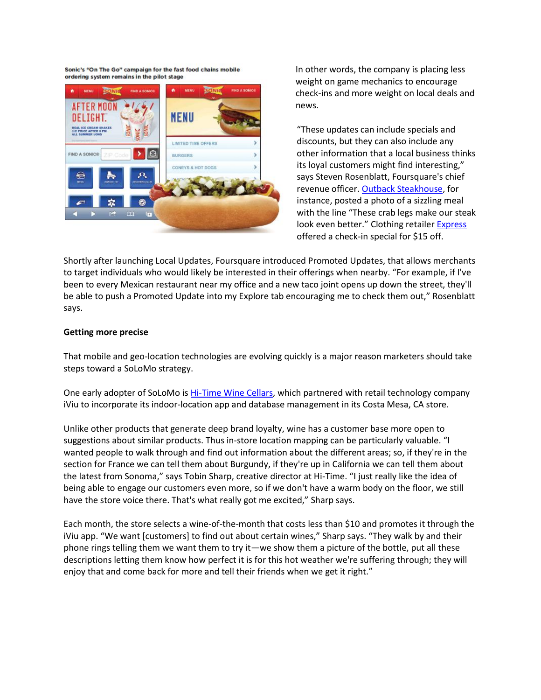Sonic's "On The Go" campaign for the fast food chains mobile ordering system remains in the pilot stage



In other words, the company is placing less weight on game mechanics to encourage check-ins and more weight on local deals and news.

"These updates can include specials and discounts, but they can also include any other information that a local business thinks its loyal customers might find interesting," says Steven Rosenblatt, Foursquare's chief revenue officer[. Outback Steakhouse,](http://www.outback.com/) for instance, posted a photo of a sizzling meal with the line "These crab legs make our steak look even better." Clothing retailer [Express](http://www.express.com/home.jsp) offered a check-in special for \$15 off.

Shortly after launching Local Updates, Foursquare introduced Promoted Updates, that allows merchants to target individuals who would likely be interested in their offerings when nearby. "For example, if I've been to every Mexican restaurant near my office and a new taco joint opens up down the street, they'll be able to push a Promoted Update into my Explore tab encouraging me to check them out," Rosenblatt says.

#### **Getting more precise**

That mobile and geo-location technologies are evolving quickly is a major reason marketers should take steps toward a SoLoMo strategy.

One early adopter of SoLoMo is **Hi-Time Wine Cellars**, which partnered with retail technology company iViu to incorporate its indoor-location app and database management in its Costa Mesa, CA store.

Unlike other products that generate deep brand loyalty, wine has a customer base more open to suggestions about similar products. Thus in-store location mapping can be particularly valuable. "I wanted people to walk through and find out information about the different areas; so, if they're in the section for France we can tell them about Burgundy, if they're up in California we can tell them about the latest from Sonoma," says Tobin Sharp, creative director at Hi-Time. "I just really like the idea of being able to engage our customers even more, so if we don't have a warm body on the floor, we still have the store voice there. That's what really got me excited," Sharp says.

Each month, the store selects a wine-of-the-month that costs less than \$10 and promotes it through the iViu app. "We want [customers] to find out about certain wines," Sharp says. "They walk by and their phone rings telling them we want them to try it—we show them a picture of the bottle, put all these descriptions letting them know how perfect it is for this hot weather we're suffering through; they will enjoy that and come back for more and tell their friends when we get it right."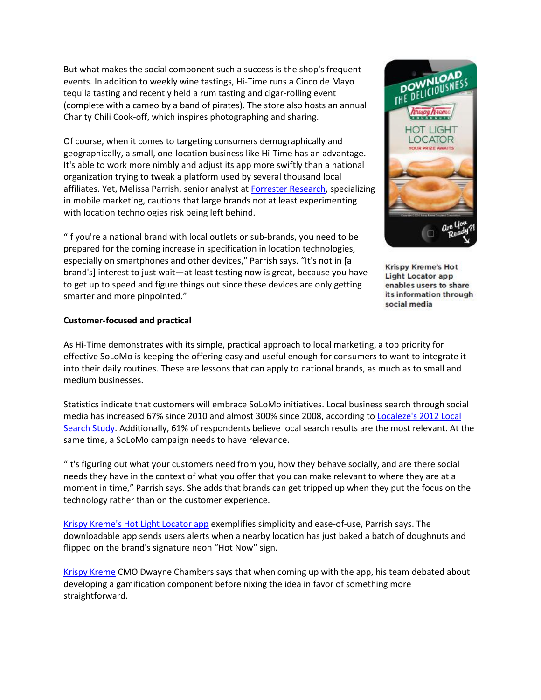But what makes the social component such a success is the shop's frequent events. In addition to weekly wine tastings, Hi-Time runs a Cinco de Mayo tequila tasting and recently held a rum tasting and cigar-rolling event (complete with a cameo by a band of pirates). The store also hosts an annual Charity Chili Cook-off, which inspires photographing and sharing.

Of course, when it comes to targeting consumers demographically and geographically, a small, one-location business like Hi-Time has an advantage. It's able to work more nimbly and adjust its app more swiftly than a national organization trying to tweak a platform used by several thousand local affiliates. Yet, Melissa Parrish, senior analyst at **Forrester Research**, specializing in mobile marketing, cautions that large brands not at least experimenting with location technologies risk being left behind.

"If you're a national brand with local outlets or sub-brands, you need to be prepared for the coming increase in specification in location technologies, especially on smartphones and other devices," Parrish says. "It's not in [a brand's] interest to just wait—at least testing now is great, because you have to get up to speed and figure things out since these devices are only getting smarter and more pinpointed."



Krispy Kreme's Hot **Light Locator app** enables users to share its information through social media

## **Customer-focused and practical**

As Hi-Time demonstrates with its simple, practical approach to local marketing, a top priority for effective SoLoMo is keeping the offering easy and useful enough for consumers to want to integrate it into their daily routines. These are lessons that can apply to national brands, as much as to small and medium businesses.

Statistics indicate that customers will embrace SoLoMo initiatives. Local business search through social media has increased 67% since 2010 and almost 300% since 2008, according to Localeze's 2012 Local [Search Study.](http://www.localsearchstudy.com/) Additionally, 61% of respondents believe local search results are the most relevant. At the same time, a SoLoMo campaign needs to have relevance.

"It's figuring out what your customers need from you, how they behave socially, and are there social needs they have in the context of what you offer that you can make relevant to where they are at a moment in time," Parrish says. She adds that brands can get tripped up when they put the focus on the technology rather than on the customer experience.

[Krispy Kreme's Hot Light Locator app](http://locations.krispykreme.com/hotlightapp/home) exemplifies simplicity and ease-of-use, Parrish says. The downloadable app sends users alerts when a nearby location has just baked a batch of doughnuts and flipped on the brand's signature neon "Hot Now" sign.

[Krispy Kreme](http://www.krispykreme.com/home) CMO Dwayne Chambers says that when coming up with the app, his team debated about developing a gamification component before nixing the idea in favor of something more straightforward.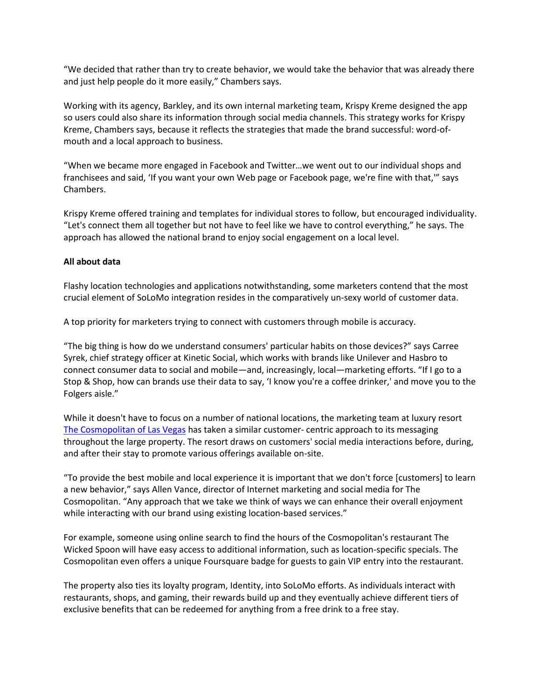"We decided that rather than try to create behavior, we would take the behavior that was already there and just help people do it more easily," Chambers says.

Working with its agency, Barkley, and its own internal marketing team, Krispy Kreme designed the app so users could also share its information through social media channels. This strategy works for Krispy Kreme, Chambers says, because it reflects the strategies that made the brand successful: word-ofmouth and a local approach to business.

"When we became more engaged in Facebook and Twitter…we went out to our individual shops and franchisees and said, 'If you want your own Web page or Facebook page, we're fine with that,'" says Chambers.

Krispy Kreme offered training and templates for individual stores to follow, but encouraged individuality. "Let's connect them all together but not have to feel like we have to control everything," he says. The approach has allowed the national brand to enjoy social engagement on a local level.

#### **All about data**

Flashy location technologies and applications notwithstanding, some marketers contend that the most crucial element of SoLoMo integration resides in the comparatively un-sexy world of customer data.

A top priority for marketers trying to connect with customers through mobile is accuracy.

"The big thing is how do we understand consumers' particular habits on those devices?" says Carree Syrek, chief strategy officer at Kinetic Social, which works with brands like Unilever and Hasbro to connect consumer data to social and mobile—and, increasingly, local—marketing efforts. "If I go to a Stop & Shop, how can brands use their data to say, 'I know you're a coffee drinker,' and move you to the Folgers aisle."

While it doesn't have to focus on a number of national locations, the marketing team at luxury resort [The Cosmopolitan of Las Vegas](http://www.cosmopolitanlasvegas.com/) has taken a similar customer- centric approach to its messaging throughout the large property. The resort draws on customers' social media interactions before, during, and after their stay to promote various offerings available on-site.

"To provide the best mobile and local experience it is important that we don't force [customers] to learn a new behavior," says Allen Vance, director of Internet marketing and social media for The Cosmopolitan. "Any approach that we take we think of ways we can enhance their overall enjoyment while interacting with our brand using existing location-based services."

For example, someone using online search to find the hours of the Cosmopolitan's restaurant The Wicked Spoon will have easy access to additional information, such as location-specific specials. The Cosmopolitan even offers a unique Foursquare badge for guests to gain VIP entry into the restaurant.

The property also ties its loyalty program, Identity, into SoLoMo efforts. As individuals interact with restaurants, shops, and gaming, their rewards build up and they eventually achieve different tiers of exclusive benefits that can be redeemed for anything from a free drink to a free stay.